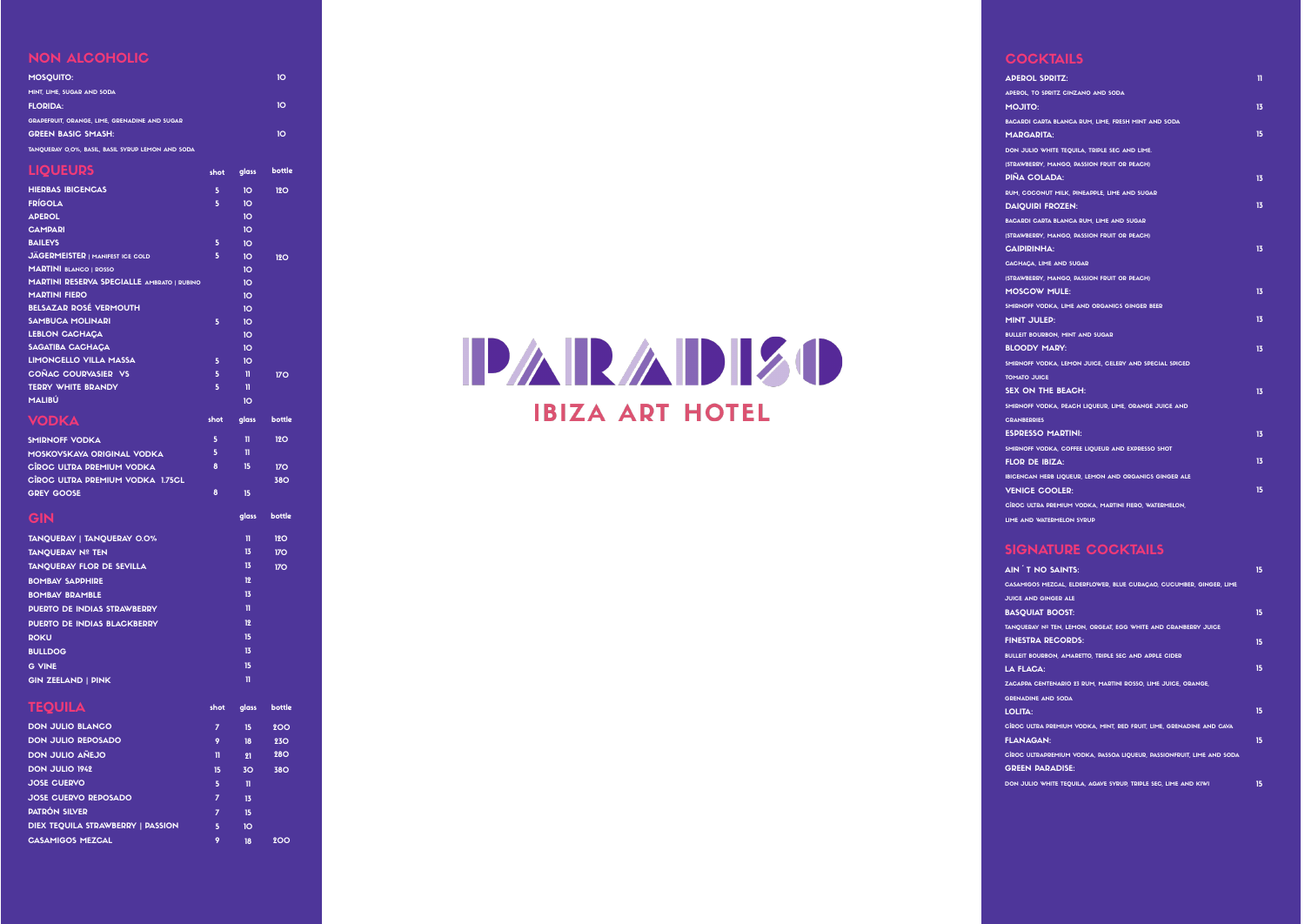| <b>APEROL SPRITZ:</b>                                  | 11 |
|--------------------------------------------------------|----|
| APEROL, TO SPRITZ CINZANO AND SODA                     |    |
| <b>MOJITO:</b>                                         | 13 |
| BACARDI CARTA BLANCA RUM, LIME, FRESH MINT AND SODA    |    |
| <b>MARGARITA:</b>                                      | 15 |
| DON JULIO WHITE TEQUILA, TRIPLE SEC AND LIME.          |    |
| (STRAWBERRY, MANGO, PASSION FRUIT OR PEACH)            |    |
| <b>DINA COLADA:</b>                                    | 13 |
| RUM, COCONUT MILK, PINEAPPLE, LIME AND SUGAR           |    |
| <b>DAIQUIRI FROZEN:</b>                                | 13 |
| BACARDI CARTA BLANCA RUM, LIME AND SUGAR               |    |
| (STRAWBERRY, MANGO, PASSION FRUIT OR PEACH)            |    |
| <b>CAIPIRINHA:</b>                                     | 13 |
| CACHAÇA, LIME AND SUGAR                                |    |
| (STRAWBERRY, MANGO, PASSION FRUIT OR PEACH)            |    |
| <b>MOSCOW MULE:</b>                                    | 13 |
| SMIRNOFF VODKA, LIME AND ORGANICS GINGER BEER          |    |
| <b>MINT JULED:</b>                                     | 13 |
| <b>BULLEIT BOURBON, MINT AND SUGAR</b>                 |    |
| <b>BLOODY MARY:</b>                                    | 13 |
| SMIRNOFF VODKA, LEMON JUICE, CELERY AND SPECIAL SPICED |    |
| <b>TOMATO JUICE</b>                                    |    |
| <b>SEX ON THE BEACH:</b>                               | 13 |
| SMIRNOFF VODKA, PEACH LIQUEUR, LIME, ORANGE JUICE AND  |    |
| <b>CRANBERRIES</b>                                     |    |
| <b>ESPRESSO MARTINI:</b>                               | 13 |
| SMIRNOFF VODKA, COFFEE LIQUEUR AND EXPRESSO SHOT       |    |
| <b>FLOR DE IBIZA:</b>                                  | 13 |
| IBICENCAN HERB LIQUEUR, LEMON AND ORGANICS GINGER ALE  |    |
| <b>VENICE COOLER:</b>                                  | 15 |
| CÍROC ULTRA PREMIUM VODKA, MARTINI FIERO, WATERMELON,  |    |
| LIME AND WATERMELON SYRUP                              |    |

## SIGNATURE COCKTAILS

| AIN T NO SAINTS:                                                      | 15 |
|-----------------------------------------------------------------------|----|
| CASAMIGOS MEZCAL, ELDERFLOWER, BLUE CURAÇAO, CUCUMBER, GINGER, LIME   |    |
| <b>JUICE AND GINGER ALE</b>                                           |    |
| <b>BASOUIAT BOOST:</b>                                                | 15 |
| TANQUERAY Nº TEN, LEMON, ORGEAT, EGG WHITE AND CRANBERRY JUICE        |    |
| <b>FINESTRA RECORDS:</b>                                              | 15 |
| BULLEIT BOURBON, AMARETTO, TRIPLE SEC AND APPLE CIDER                 |    |
| <b>LA FLACA:</b>                                                      | 15 |
| ZACAPPA CENTENARIO 23 RUM. MARTINI ROSSO. LIME JUICE. ORANGE.         |    |
| <b>GRENADINE AND SODA</b>                                             |    |
| <b>LOLITA:</b>                                                        | 15 |
| CÎROC ULTRA PREMIUM VODKA, MINT, RED FRUIT, LIME, GRENADINE AND CAVA  |    |
| <b>FLANAGAN:</b>                                                      | 15 |
| CÎROC ULTRAPREMIUM VODKA, PASSOA LIQUEUR, PASSIONFRUIT, LIME AND SODA |    |
| <b>GREEN PARADISE:</b>                                                |    |
| DON JULIO WHITE TEOUILA, AGAVE SYRUP, TRIPLE SEC. LIME AND KIWI       | 15 |
|                                                                       |    |

# NON ALCOHOLIC

| <b>HIERBAS IBICENCAS</b>                             | 5    | 10    | 12O    |
|------------------------------------------------------|------|-------|--------|
| <b>LIQUEURS</b>                                      | shot | glass | bottle |
| TANQUERAY 0,0%, BASIL, BASIL SYRUP LEMON AND SODA    |      |       |        |
| <b>GREEN BASIC SMASH:</b>                            |      |       | 10     |
| <b>GRAPEFRUIT, ORANGE, LIME, GRENADINE AND SUGAR</b> |      |       |        |
| <b>FLORIDA:</b>                                      |      |       | 10     |
| MINT. LIME. SUGAR AND SODA                           |      |       |        |
| <b>MOSOUITO:</b>                                     |      |       | 10     |

| <b>HIERBAS IBICENCAS</b>                          | 5    | 10              | 12O             |
|---------------------------------------------------|------|-----------------|-----------------|
| <b>FRÍGOLA</b>                                    | 5    | 10              |                 |
| <b>APEROL</b>                                     |      | 10 <sub>o</sub> |                 |
| <b>CAMPARI</b>                                    |      | 10 <sup>o</sup> |                 |
| <b>BAILEYS</b>                                    | 5    | 10 <sup>o</sup> |                 |
| <b>JÄGERMEISTER   MANIFEST ICE COLD</b>           | 5    | 10 <sup>o</sup> | 12O             |
| <b>MARTINI BLANCO   ROSSO</b>                     |      | 10 <sup>o</sup> |                 |
| <b>MARTINI RESERVA SPECIALLE AMBRATO   RUBINO</b> |      | 10 <sup>o</sup> |                 |
| <b>MARTINI FIERO</b>                              |      | 10 <sup>o</sup> |                 |
| <b>BELSAZAR ROSÉ VERMOUTH</b>                     |      | 10 <sup>o</sup> |                 |
| <b>SAMBUCA MOLINARI</b>                           | 5    | 10              |                 |
| <b>LEBLON CACHACA</b>                             |      | 10 <sub>o</sub> |                 |
| <b>SAGATIBA CACHACA</b>                           |      | 10 <sup>o</sup> |                 |
| <b>LIMONCELLO VILLA MASSA</b>                     | 5    | 10 <sup>o</sup> |                 |
| COÑAC COURVASIER VS                               | 5    | $\mathbf{u}$    | 170             |
| <b>TERRY WHITE BRANDY</b>                         | 5    | n               |                 |
| MALIBÚ                                            |      | 10 <sup>o</sup> |                 |
| <b>VODKA</b>                                      | shot | glass           | bottle          |
|                                                   |      |                 |                 |
| <b>SMIRNOFF VODKA</b>                             | 5    | n               | <b>12O</b>      |
| <b>MOSKOVSKAYA ORIGINAL VODKA</b>                 | 5    | n               |                 |
| CÎROC ULTRA PREMIUM VODKA                         | 8    | 15              | <b>170</b>      |
| CÎROC ULTRA PREMIUM VODKA 1.75CL                  |      |                 | <b>380</b>      |
| <b>GREY GOOSE</b>                                 | 8    | 15              |                 |
| GIN                                               |      | glass           | bottle          |
| TANQUERAY   TANQUERAY 0.0%                        |      | n               | 12O             |
| <b>TANQUERAY Nº TEN</b>                           |      | 13              | 170             |
| <b>TANQUERAY FLOR DE SEVILLA</b>                  |      | 13              | 17 <sub>O</sub> |
| <b>BOMBAY SAPPHIRE</b>                            |      | 12              |                 |
| <b>BOMBAY BRAMBLE</b>                             |      | 13              |                 |
| <b>PUERTO DE INDIAS STRAWBERRY</b>                |      | n               |                 |
| <b>PUERTO DE INDIAS BLACKBERRY</b>                |      | 12              |                 |
|                                                   |      | 15              |                 |
| <b>ROKU</b>                                       |      |                 |                 |
| <b>BULLDOG</b>                                    |      | 13              |                 |
| <b>G VINE</b>                                     |      | 15              |                 |
| <b>GIN ZEELAND   PINK</b>                         |      | $\mathbf n$     |                 |
| <b>TEQUILA</b>                                    | shot | glass           | bottle          |
| <b>DON JULIO BLANCO</b>                           | 7    | 15              | <b>200</b>      |
| <b>DON JULIO REPOSADO</b>                         | 9    | 18              | <b>230</b>      |
| <b>DON JULIO AÑEJO</b>                            | n    | 21              | <b>280</b>      |
| <b>DON JULIO 1942</b>                             | 15   | 3 <sub>O</sub>  | <b>380</b>      |
| <b>JOSE CUERVO</b>                                | 5    | n               |                 |
| <b>JOSE CUERVO REPOSADO</b>                       | 7    | 13              |                 |
| <b>PATRÓN SILVER</b>                              | 7    | 15              |                 |
|                                                   |      |                 |                 |
| DIEX TEQUILA STRAWBERRY   PASSION                 | 5    | 10 <sub>o</sub> |                 |
| <b>CASAMIGOS MEZCAL</b>                           | 9    | 18              | 200             |



# **COCKTAILS**